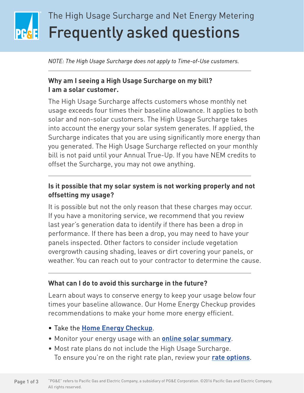# Frequently asked questions The High Usage Surcharge and Net Energy Metering

*NOTE: The High Usage Surcharge does not apply to Time-of-Use customers.*

### **Why am I seeing a High Usage Surcharge on my bill? I am a solar customer.**

The High Usage Surcharge affects customers whose monthly net usage exceeds four times their baseline allowance. It applies to both solar and non-solar customers. The High Usage Surcharge takes into account the energy your solar system generates. If applied, the Surcharge indicates that you are using significantly more energy than you generated. The High Usage Surcharge reflected on your monthly bill is not paid until your Annual True-Up. If you have NEM credits to offset the Surcharge, you may not owe anything.

### **Is it possible that my solar system is not working properly and not offsetting my usage?**

It is possible but not the only reason that these charges may occur. If you have a monitoring service, we recommend that you review last year's generation data to identify if there has been a drop in performance. If there has been a drop, you may need to have your panels inspected. Other factors to consider include vegetation overgrowth causing shading, leaves or dirt covering your panels, or weather. You can reach out to your contractor to determine the cause.

#### **What can I do to avoid this surcharge in the future?**

Learn about ways to conserve energy to keep your usage below four times your baseline allowance. Our Home Energy Checkup provides recommendations to make your home more energy efficient.

- Take the **Home Energy Checkup**.
- Monitor your energy usage with an **online solar summary**.
- Most rate plans do not include the High Usage Surcharge. To ensure you're on the right rate plan, review your **rate options**.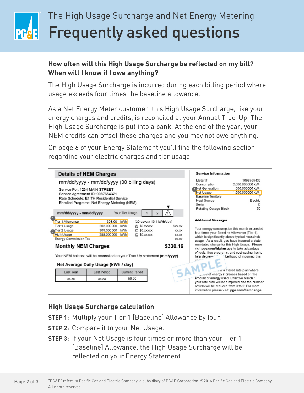# Frequently asked questions The High Usage Surcharge and Net Energy Metering

### **How often will this High Usage Surcharge be reflected on my bill? When will I know if I owe anything?**

The High Usage Surcharge is incurred during each billing period where usage exceeds four times the baseline allowance.

As a Net Energy Meter customer, this High Usage Surcharge, like your energy charges and credits, is reconciled at your Annual True-Up. The High Usage Surcharge is put into a bank. At the end of the year, your NEM credits can offset these charges and you may not owe anything.

On page 6 of your Energy Statement you'll find the following section regarding your electric charges and tier usage.

| <b>Details of NEM Charges</b>                                                                                                                                                                                                                     |                                                                                                                                                                                                            |                                 |                                                                       |                                                | <b>Service Information</b>                                                                                                                                                                                                                                                                                                                                                                     |                                                                                              |
|---------------------------------------------------------------------------------------------------------------------------------------------------------------------------------------------------------------------------------------------------|------------------------------------------------------------------------------------------------------------------------------------------------------------------------------------------------------------|---------------------------------|-----------------------------------------------------------------------|------------------------------------------------|------------------------------------------------------------------------------------------------------------------------------------------------------------------------------------------------------------------------------------------------------------------------------------------------------------------------------------------------------------------------------------------------|----------------------------------------------------------------------------------------------|
|                                                                                                                                                                                                                                                   | mm/dd/yyyy - mm/dd/yyyy (30 billing days)<br>Service For: 1234 MAIN STREET<br>Service Agreement ID: 9087654321<br>Rate Schedule: E1 TH Residential Service<br>Enrolled Programs: Net Energy Metering (NEM) |                                 |                                                                       |                                                | Meter #<br>Consumption<br>Net Generation<br>Net Usage<br><b>Baseline Territory</b><br>Heat Source<br>Serial<br>Rotating Outage Block                                                                                                                                                                                                                                                           | 1098765432<br>2.000.000000 kWh<br>-500.000000 kWh<br>1.500.000000 kWh<br>Electric<br>D<br>50 |
| mm/dd/yyyy - mm/dd/yyyy                                                                                                                                                                                                                           |                                                                                                                                                                                                            | Your Tier Usage                 |                                                                       |                                                |                                                                                                                                                                                                                                                                                                                                                                                                |                                                                                              |
| Tier 1 Allowance<br>Tier 1 Usage<br><b>A</b> Tier 2 Usage<br>High Usage<br>Energy Commission Tax<br><b>Monthly NEM Charges</b><br>Your NEM balance will be reconciled on your True-Up statement (mm/yyyy).<br>Net Average Daily Usage (kWh / day) | 303.00<br>303.000000<br>909.000000<br>288.000000                                                                                                                                                           | kWh<br><b>kWh</b><br>kWh<br>kWh | (30 days x 10.1 kWh/day)<br>@ \$0.xxxxx<br>@ \$0.xxxxx<br>@ \$0.xxxxx | \$XX.XX<br>XX XX<br>XX.XX<br>XX.XX<br>\$330.16 | <b>Additional Messages</b><br>Your energy consumption this month exceeded<br>four times your Baseline Allowance (Tier 1).<br>which is significantly above typical household<br>usage. As a result, you have incurred a state-<br>mandated charge for this High Usage. Please<br>visit pge.com/highusage to take advantage<br>of tools, free programs, and cost-saving tips to<br>help decrease | likelihood of incurring this                                                                 |
| Last Year<br>XX XX                                                                                                                                                                                                                                | Last Period<br>XX XX                                                                                                                                                                                       | <b>Current Period</b><br>50.00  |                                                                       |                                                | we of energy increases based on the<br>amount of energy used. Effective March 1.<br>your rate plan will be simplified and the number<br>of tiers will be reduced from 3 to 2. For more<br>information please visit: pge.com/tierchange.                                                                                                                                                        | wir a Tiered rate plan where                                                                 |

#### **High Usage Surcharge calculation**

- **STEP 1:** Multiply your Tier 1 [Baseline] Allowance by four.
- **STEP 2:** Compare it to your Net Usage.
- **STEP 3:** If your Net Usage is four times or more than your Tier 1 [Baseline] Allowance, the High Usage Surcharge will be reflected on your Energy Statement.

"PG&E" refers to Pacific Gas and Electric Company, a subsidiary of PG&E Corporation. ©2016 Pacific Gas and Electric Company. All rights reserved. Page 2 of 3